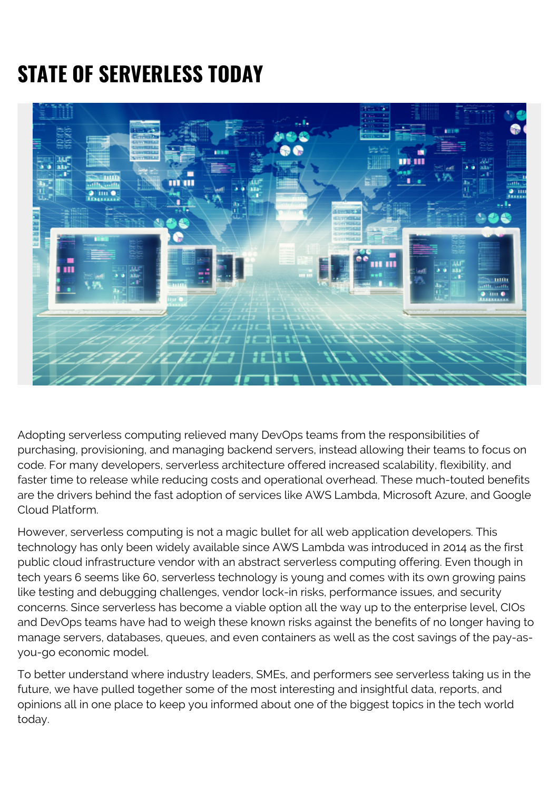# **STATE OF SERVERLESS TODAY**



Adopting serverless computing relieved many DevOps teams from the responsibilities of purchasing, provisioning, and managing backend servers, instead allowing their teams to focus on code. For many developers, serverless architecture offered increased scalability, flexibility, and faster time to release while reducing costs and operational overhead. These much-touted benefits are the drivers behind the fast adoption of services like AWS Lambda, Microsoft Azure, and Google Cloud Platform.

However, serverless computing is not a magic bullet for all web application developers. This technology has only been widely available since AWS Lambda was introduced in 2014 as the first public cloud infrastructure vendor with an abstract serverless computing offering. Even though in tech years 6 seems like 60, serverless technology is young and comes with its own growing pains like testing and debugging challenges, vendor lock-in risks, performance issues, and security concerns. Since serverless has become a viable option all the way up to the enterprise level, CIOs and DevOps teams have had to weigh these known risks against the benefits of no longer having to manage servers, databases, queues, and even containers as well as the cost savings of the pay-asyou-go economic model.

To better understand where industry leaders, SMEs, and performers see serverless taking us in the future, we have pulled together some of the most interesting and insightful data, reports, and opinions all in one place to keep you informed about one of the biggest topics in the tech world today.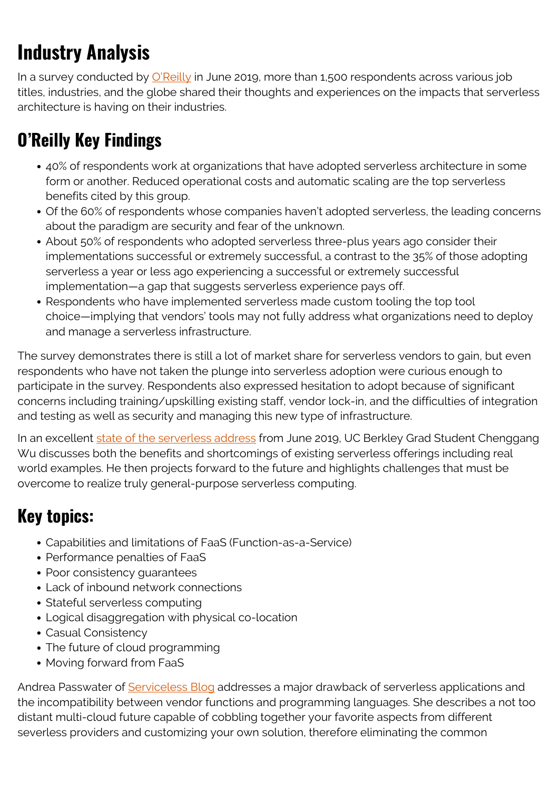## **Industry Analysis**

In a survey conducted by [O'Reilly](https://www.oreilly.com/radar/oreilly-serverless-survey-2019-concerns-what-works-and-what-to-expect/) in June 2019, more than 1,500 respondents across various job titles, industries, and the globe shared their thoughts and experiences on the impacts that serverless architecture is having on their industries.

## **O'Reilly Key Findings**

- 40% of respondents work at organizations that have adopted serverless architecture in some form or another. Reduced operational costs and automatic scaling are the top serverless benefits cited by this group.
- Of the 60% of respondents whose companies haven't adopted serverless, the leading concerns about the paradigm are security and fear of the unknown.
- About 50% of respondents who adopted serverless three-plus years ago consider their implementations successful or extremely successful, a contrast to the 35% of those adopting serverless a year or less ago experiencing a successful or extremely successful implementation—a gap that suggests serverless experience pays off.
- Respondents who have implemented serverless made custom tooling the top tool choice—implying that vendors' tools may not fully address what organizations need to deploy and manage a serverless infrastructure.

The survey demonstrates there is still a lot of market share for serverless vendors to gain, but even respondents who have not taken the plunge into serverless adoption were curious enough to participate in the survey. Respondents also expressed hesitation to adopt because of significant concerns including training/upskilling existing staff, vendor lock-in, and the difficulties of integration and testing as well as security and managing this new type of infrastructure.

In an excellent [state of the serverless address](https://www.infoq.com/presentations/state-serverless-computing/) from June 2019, UC Berkley Grad Student Chenggang Wu discusses both the benefits and shortcomings of existing serverless offerings including real world examples. He then projects forward to the future and highlights challenges that must be overcome to realize truly general-purpose serverless computing.

#### **Key topics:**

- Capabilities and limitations of FaaS (Function-as-a-Service)
- Performance penalties of FaaS
- Poor consistency quarantees
- Lack of inbound network connections
- Stateful serverless computing
- Logical disaggregation with physical co-location
- Casual Consistency
- The future of cloud programming
- Moving forward from FaaS

Andrea Passwater of [Serviceless Blog](https://www.serverless.com/blog/state-of-serverless-multi-cloud) addresses a major drawback of serverless applications and the incompatibility between vendor functions and programming languages. She describes a not too distant multi-cloud future capable of cobbling together your favorite aspects from different severless providers and customizing your own solution, therefore eliminating the common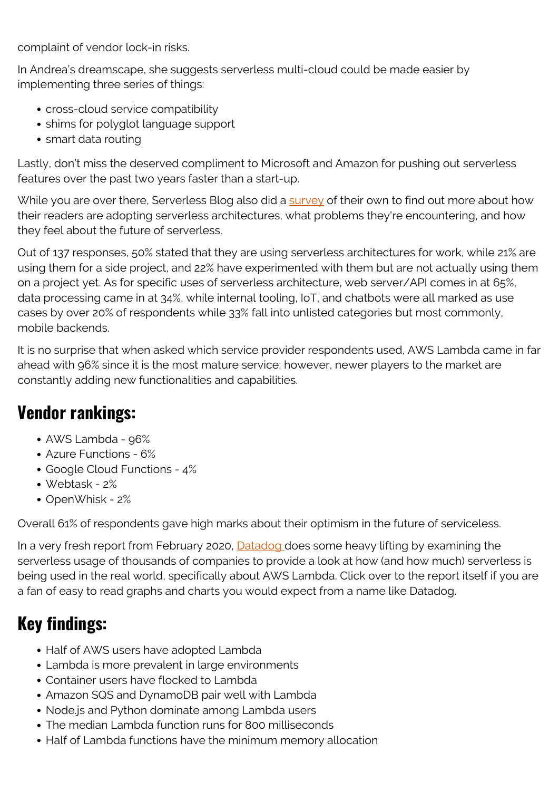complaint of vendor lock-in risks.

In Andrea's dreamscape, she suggests serverless multi-cloud could be made easier by implementing three series of things:

- cross-cloud service compatibility
- shims for polyglot language support
- smart data routing

Lastly, don't miss the deserved compliment to Microsoft and Amazon for pushing out serverless features over the past two years faster than a start-up.

While you are over there, Serverless Blog also did a [survey](https://www.serverless.com/blog/state-of-serverless-community) of their own to find out more about how their readers are adopting serverless architectures, what problems they're encountering, and how they feel about the future of serverless.

Out of 137 responses, 50% stated that they are using serverless architectures for work, while 21% are using them for a side project, and 22% have experimented with them but are not actually using them on a project yet. As for specific uses of serverless architecture, web server/API comes in at 65%, data processing came in at 34%, while internal tooling, IoT, and chatbots were all marked as use cases by over 20% of respondents while 33% fall into unlisted categories but most commonly, mobile backends.

It is no surprise that when asked which service provider respondents used, AWS Lambda came in far ahead with 96% since it is the most mature service; however, newer players to the market are constantly adding new functionalities and capabilities.

### **Vendor rankings:**

- AWS Lambda 96%
- Azure Functions 6%
- Google Cloud Functions 4%
- Webtask 2%
- OpenWhisk 2%

Overall 61% of respondents gave high marks about their optimism in the future of serviceless.

In a very fresh report from February 2020, **Datadog does some heavy lifting by examining the** serverless usage of thousands of companies to provide a look at how (and how much) serverless is being used in the real world, specifically about AWS Lambda. Click over to the report itself if you are a fan of easy to read graphs and charts you would expect from a name like Datadog.

## **Key findings:**

- Half of AWS users have adopted Lambda
- Lambda is more prevalent in large environments
- Container users have flocked to Lambda
- Amazon SQS and DynamoDB pair well with Lambda
- Node.js and Python dominate among Lambda users
- The median Lambda function runs for 800 milliseconds
- Half of Lambda functions have the minimum memory allocation